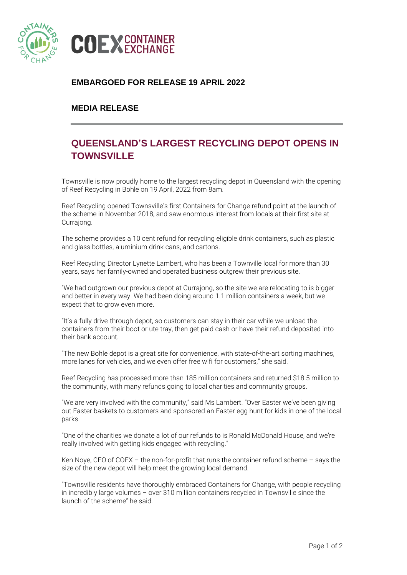

## **EMBARGOED FOR RELEASE 19 APRIL 2022**

## **MEDIA RELEASE**

## **QUEENSLAND'S LARGEST RECYCLING DEPOT OPENS IN TOWNSVILLE**

Townsville is now proudly home to the largest recycling depot in Queensland with the opening of Reef Recycling in Bohle on 19 April, 2022 from 8am.

Reef Recycling opened Townsville's first Containers for Change refund point at the launch of the scheme in November 2018, and saw enormous interest from locals at their first site at Curraiong.

The scheme provides a 10 cent refund for recycling eligible drink containers, such as plastic and glass bottles, aluminium drink cans, and cartons.

Reef Recycling Director Lynette Lambert, who has been a Townville local for more than 30 years, says her family-owned and operated business outgrew their previous site.

"We had outgrown our previous depot at Currajong, so the site we are relocating to is bigger and better in every way. We had been doing around 1.1 million containers a week, but we expect that to grow even more.

"It's a fully drive-through depot, so customers can stay in their car while we unload the containers from their boot or ute tray, then get paid cash or have their refund deposited into their bank account.

"The new Bohle depot is a great site for convenience, with state-of-the-art sorting machines, more lanes for vehicles, and we even offer free wifi for customers," she said.

Reef Recycling has processed more than 185 million containers and returned \$18.5 million to the community, with many refunds going to local charities and community groups.

"We are very involved with the community," said Ms Lambert. "Over Easter we've been giving out Easter baskets to customers and sponsored an Easter egg hunt for kids in one of the local parks.

"One of the charities we donate a lot of our refunds to is Ronald McDonald House, and we're really involved with getting kids engaged with recycling."

Ken Noye, CEO of COEX – the non-for-profit that runs the container refund scheme – says the size of the new depot will help meet the growing local demand.

"Townsville residents have thoroughly embraced Containers for Change, with people recycling in incredibly large volumes – over 310 million containers recycled in Townsville since the launch of the scheme" he said.